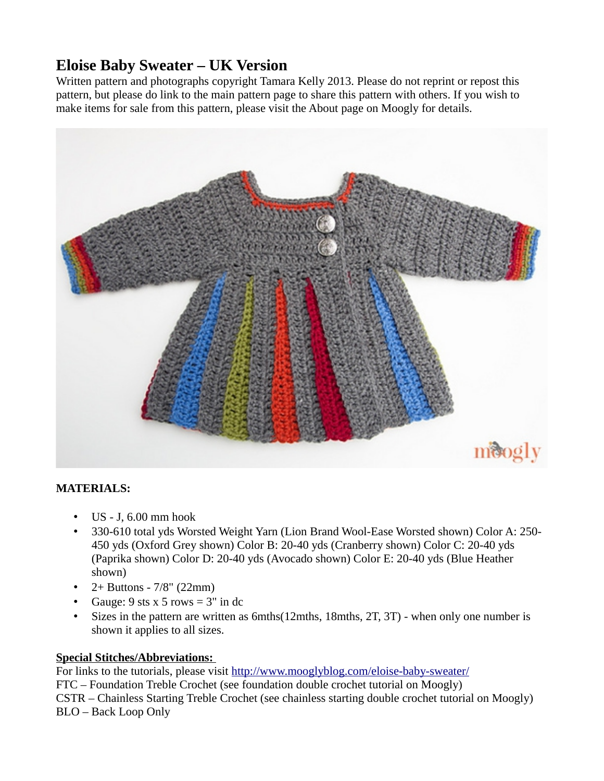## **Eloise Baby Sweater – UK Version**

Written pattern and photographs copyright Tamara Kelly 2013. Please do not reprint or repost this pattern, but please do link to the main pattern page to share this pattern with others. If you wish to make items for sale from this pattern, please visit the About page on Moogly for details.



## **MATERIALS:**

- $\cdot$  US J, 6.00 mm hook
- 330-610 total yds Worsted Weight Yarn (Lion Brand Wool-Ease Worsted shown) Color A: 250- 450 yds (Oxford Grey shown) Color B: 20-40 yds (Cranberry shown) Color C: 20-40 yds (Paprika shown) Color D: 20-40 yds (Avocado shown) Color E: 20-40 yds (Blue Heather shown)
- $2+$  Buttons  $7/8$ " (22mm)
- Gauge:  $9$  sts x  $5$  rows =  $3"$  in dc
- Sizes in the pattern are written as 6mths(12mths, 18mths, 2T, 3T) when only one number is shown it applies to all sizes.

## **Special Stitches/Abbreviations:**

For links to the tutorials, please visit<http://www.mooglyblog.com/eloise-baby-sweater/> FTC – Foundation Treble Crochet (see foundation double crochet tutorial on Moogly) CSTR – Chainless Starting Treble Crochet (see chainless starting double crochet tutorial on Moogly) BLO – Back Loop Only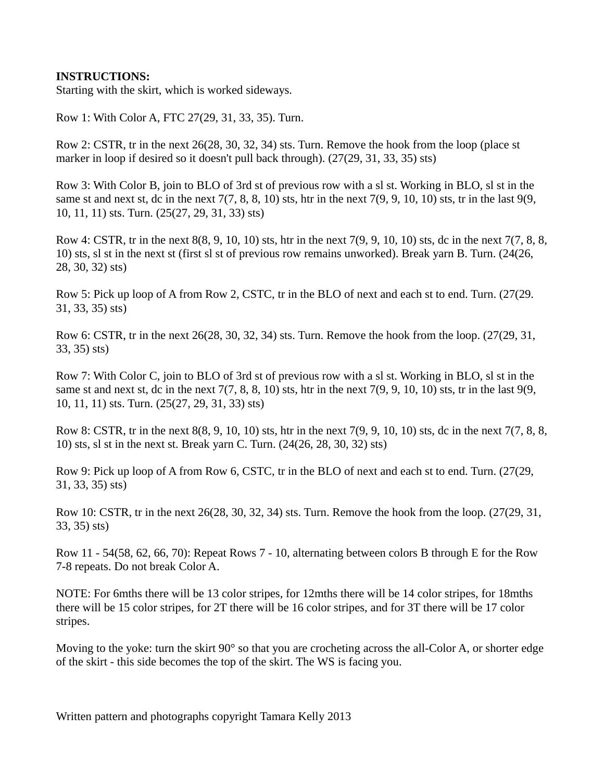## **INSTRUCTIONS:**

Starting with the skirt, which is worked sideways.

Row 1: With Color A, FTC 27(29, 31, 33, 35). Turn.

Row 2: CSTR, tr in the next 26(28, 30, 32, 34) sts. Turn. Remove the hook from the loop (place st marker in loop if desired so it doesn't pull back through). (27(29, 31, 33, 35) sts)

Row 3: With Color B, join to BLO of 3rd st of previous row with a sl st. Working in BLO, sl st in the same st and next st, dc in the next  $7(7, 8, 8, 10)$  sts, htr in the next  $7(9, 9, 10, 10)$  sts, tr in the last  $9(9, 9, 10)$ 10, 11, 11) sts. Turn. (25(27, 29, 31, 33) sts)

Row 4: CSTR, tr in the next 8(8, 9, 10, 10) sts, htr in the next 7(9, 9, 10, 10) sts, dc in the next 7(7, 8, 8, 10) sts, sl st in the next st (first sl st of previous row remains unworked). Break yarn B. Turn. (24(26, 28, 30, 32) sts)

Row 5: Pick up loop of A from Row 2, CSTC, tr in the BLO of next and each st to end. Turn. (27(29. 31, 33, 35) sts)

Row 6: CSTR, tr in the next 26(28, 30, 32, 34) sts. Turn. Remove the hook from the loop. (27(29, 31, 33, 35) sts)

Row 7: With Color C, join to BLO of 3rd st of previous row with a sl st. Working in BLO, sl st in the same st and next st, dc in the next  $7(7, 8, 8, 10)$  sts, htr in the next  $7(9, 9, 10, 10)$  sts, tr in the last  $9(9, 10)$ 10, 11, 11) sts. Turn. (25(27, 29, 31, 33) sts)

Row 8: CSTR, tr in the next 8(8, 9, 10, 10) sts, htr in the next 7(9, 9, 10, 10) sts, dc in the next 7(7, 8, 8, 10) sts, sl st in the next st. Break yarn C. Turn. (24(26, 28, 30, 32) sts)

Row 9: Pick up loop of A from Row 6, CSTC, tr in the BLO of next and each st to end. Turn. (27(29, 31, 33, 35) sts)

Row 10: CSTR, tr in the next 26(28, 30, 32, 34) sts. Turn. Remove the hook from the loop. (27(29, 31, 33, 35) sts)

Row 11 - 54(58, 62, 66, 70): Repeat Rows 7 - 10, alternating between colors B through E for the Row 7-8 repeats. Do not break Color A.

NOTE: For 6mths there will be 13 color stripes, for 12mths there will be 14 color stripes, for 18mths there will be 15 color stripes, for 2T there will be 16 color stripes, and for 3T there will be 17 color stripes.

Moving to the yoke: turn the skirt 90° so that you are crocheting across the all-Color A, or shorter edge of the skirt - this side becomes the top of the skirt. The WS is facing you.

Written pattern and photographs copyright Tamara Kelly 2013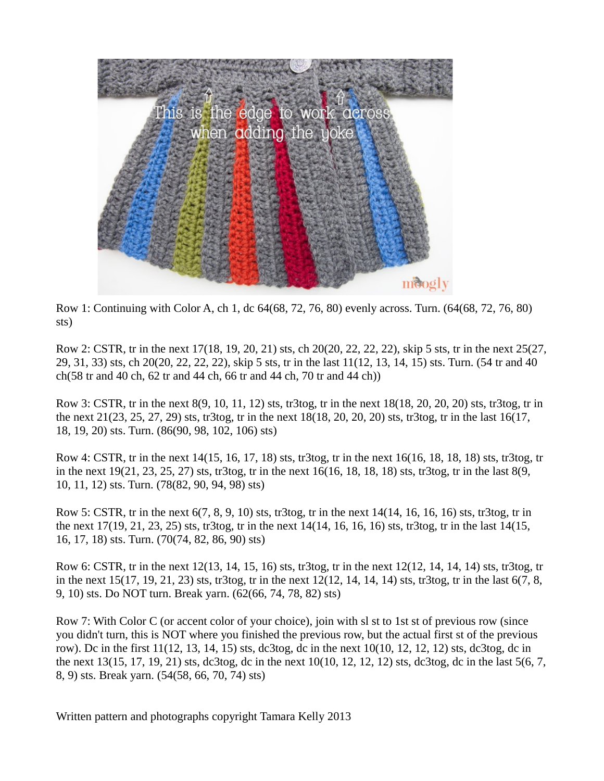

Row 1: Continuing with Color A, ch 1, dc 64(68, 72, 76, 80) evenly across. Turn. (64(68, 72, 76, 80) sts)

Row 2: CSTR, tr in the next 17(18, 19, 20, 21) sts, ch 20(20, 22, 22, 22), skip 5 sts, tr in the next 25(27, 29, 31, 33) sts, ch 20(20, 22, 22, 22), skip 5 sts, tr in the last 11(12, 13, 14, 15) sts. Turn. (54 tr and 40 ch(58 tr and 40 ch, 62 tr and 44 ch, 66 tr and 44 ch, 70 tr and 44 ch))

Row 3: CSTR, tr in the next 8(9, 10, 11, 12) sts, tr3tog, tr in the next 18(18, 20, 20, 20) sts, tr3tog, tr in the next 21(23, 25, 27, 29) sts, tr3tog, tr in the next 18(18, 20, 20, 20) sts, tr3tog, tr in the last 16(17, 18, 19, 20) sts. Turn. (86(90, 98, 102, 106) sts)

Row 4: CSTR, tr in the next 14(15, 16, 17, 18) sts, tr3tog, tr in the next 16(16, 18, 18, 18) sts, tr3tog, tr in the next 19(21, 23, 25, 27) sts, tr3tog, tr in the next 16(16, 18, 18, 18) sts, tr3tog, tr in the last 8(9, 10, 11, 12) sts. Turn. (78(82, 90, 94, 98) sts)

Row 5: CSTR, tr in the next  $6(7, 8, 9, 10)$  sts, tr3tog, tr in the next  $14(14, 16, 16, 16)$  sts, tr3tog, tr in the next 17(19, 21, 23, 25) sts, tr3tog, tr in the next 14(14, 16, 16, 16) sts, tr3tog, tr in the last 14(15, 16, 17, 18) sts. Turn. (70(74, 82, 86, 90) sts)

Row 6: CSTR, tr in the next 12(13, 14, 15, 16) sts, tr3tog, tr in the next 12(12, 14, 14, 14) sts, tr3tog, tr in the next 15(17, 19, 21, 23) sts, tr3tog, tr in the next 12(12, 14, 14, 14) sts, tr3tog, tr in the last 6(7, 8, 9, 10) sts. Do NOT turn. Break yarn. (62(66, 74, 78, 82) sts)

Row 7: With Color C (or accent color of your choice), join with sl st to 1st st of previous row (since you didn't turn, this is NOT where you finished the previous row, but the actual first st of the previous row). Dc in the first 11(12, 13, 14, 15) sts, dc3tog, dc in the next 10(10, 12, 12, 12) sts, dc3tog, dc in the next 13(15, 17, 19, 21) sts, dc3tog, dc in the next 10(10, 12, 12, 12) sts, dc3tog, dc in the last 5(6, 7, 8, 9) sts. Break yarn. (54(58, 66, 70, 74) sts)

Written pattern and photographs copyright Tamara Kelly 2013